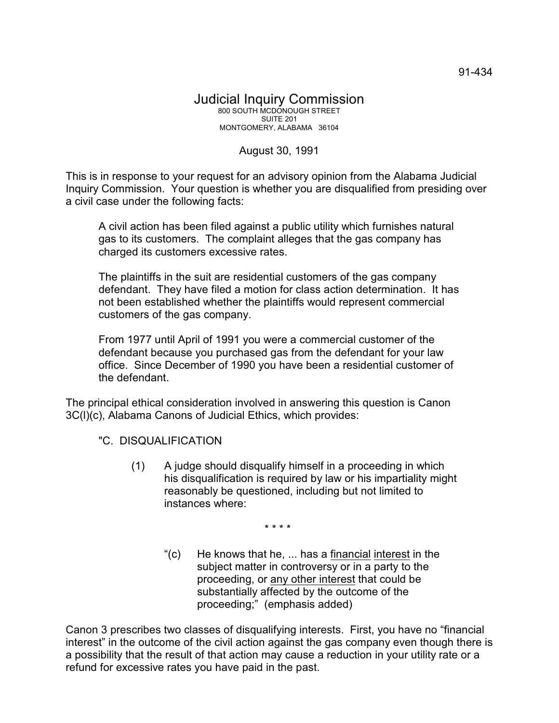## August 30, 1991

This is in response to your request for an advisory opinion from the Alabama Judicial Inquiry Commission. Your question is whether you are disqualified from presiding over a civil case under the following facts:

A civil action has been filed against a public utility which furnishes natural gas to its customers. The complaint alleges that the gas company has charged its customers excessive rates.

The plaintiffs in the suit are residential customers of the gas company defendant. They have filed a motion for class action determination. It has not been established whether the plaintiffs would represent commercial customers of the gas company.

From 1977 until April of 1991 you were a commercial customer of the defendant because you purchased gas from the defendant for your law office. Since December of 1990 you have been a residential customer of the defendant.

The principal ethical consideration involved in answering this question is Canon 3C(l)(c), Alabama Canons of Judicial Ethics, which provides:

"C. DISQUALIFICATION

(1) A judge should disqualify himself in a proceeding in which his disqualification is required by law or his impartiality might reasonably be questioned, including but not limited to instances where:

\* \* \* \*

" $(c)$  He knows that he, ... has a financial interest in the subject matter in controversy or in a party to the proceeding, or any other interest that could be substantially affected by the outcome of the proceeding;" (emphasis added)

Canon 3 prescribes two classes of disqualifying interests. First, you have no "financial interest" in the outcome of the civil action against the gas company even though there is a possibility that the result of that action may cause a reduction in your utility rate or a refund for excessive rates you have paid in the past.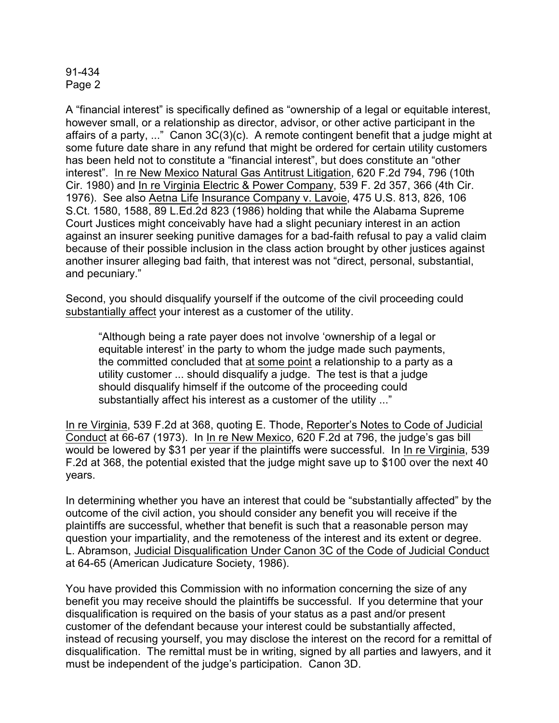## 91-434 Page 2

A "financial interest" is specifically defined as "ownership of a legal or equitable interest, however small, or a relationship as director, advisor, or other active participant in the affairs of a party, ..." Canon 3C(3)(c). A remote contingent benefit that a judge might at some future date share in any refund that might be ordered for certain utility customers has been held not to constitute a "financial interest", but does constitute an "other interest". In re New Mexico Natural Gas Antitrust Litigation, 620 F.2d 794, 796 (10th Cir. 1980) and In re Virginia Electric & Power Company, 539 F. 2d 357, 366 (4th Cir. 1976). See also Aetna Life Insurance Company v. Lavoie, 475 U.S. 813, 826, 106 S.Ct. 1580, 1588, 89 L.Ed.2d 823 (1986) holding that while the Alabama Supreme Court Justices might conceivably have had a slight pecuniary interest in an action against an insurer seeking punitive damages for a bad-faith refusal to pay a valid claim because of their possible inclusion in the class action brought by other justices against another insurer alleging bad faith, that interest was not "direct, personal, substantial, and pecuniary."

Second, you should disqualify yourself if the outcome of the civil proceeding could substantially affect your interest as a customer of the utility.

"Although being a rate payer does not involve 'ownership of a legal or equitable interest' in the party to whom the judge made such payments, the committed concluded that at some point a relationship to a party as a utility customer ... should disqualify a judge. The test is that a judge should disqualify himself if the outcome of the proceeding could substantially affect his interest as a customer of the utility ..."

In re Virginia, 539 F.2d at 368, quoting E. Thode, Reporter's Notes to Code of Judicial Conduct at 66-67 (1973). In In re New Mexico, 620 F.2d at 796, the judge's gas bill would be lowered by \$31 per year if the plaintiffs were successful. In In re Virginia, 539 F.2d at 368, the potential existed that the judge might save up to \$100 over the next 40 years.

In determining whether you have an interest that could be "substantially affected" by the outcome of the civil action, you should consider any benefit you will receive if the plaintiffs are successful, whether that benefit is such that a reasonable person may question your impartiality, and the remoteness of the interest and its extent or degree. L. Abramson, Judicial Disqualification Under Canon 3C of the Code of Judicial Conduct at 64-65 (American Judicature Society, 1986).

You have provided this Commission with no information concerning the size of any benefit you may receive should the plaintiffs be successful. If you determine that your disqualification is required on the basis of your status as a past and/or present customer of the defendant because your interest could be substantially affected, instead of recusing yourself, you may disclose the interest on the record for a remittal of disqualification. The remittal must be in writing, signed by all parties and lawyers, and it must be independent of the judge's participation. Canon 3D.